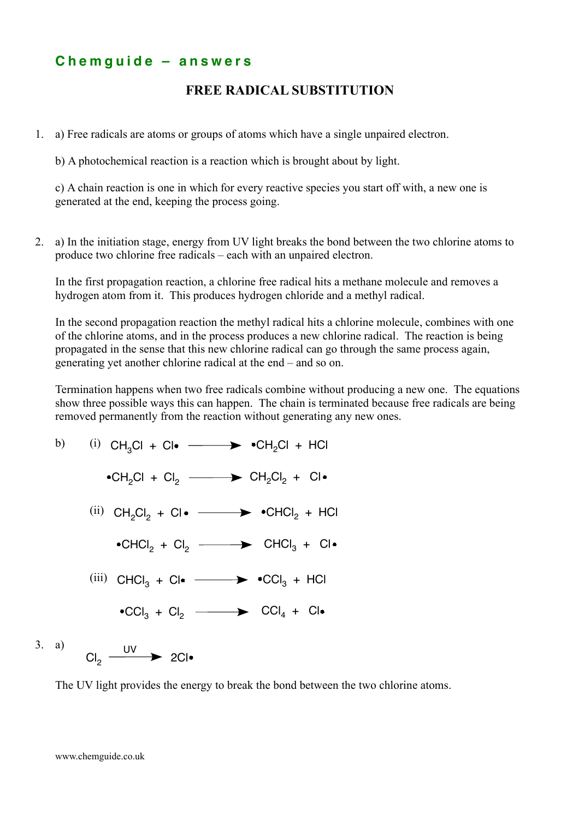## **C h e m g u i d e – a n s w e r s**

## **FREE RADICAL SUBSTITUTION**

1. a) Free radicals are atoms or groups of atoms which have a single unpaired electron.

b) A photochemical reaction is a reaction which is brought about by light.

c) A chain reaction is one in which for every reactive species you start off with, a new one is generated at the end, keeping the process going.

2. a) In the initiation stage, energy from UV light breaks the bond between the two chlorine atoms to produce two chlorine free radicals – each with an unpaired electron.

In the first propagation reaction, a chlorine free radical hits a methane molecule and removes a hydrogen atom from it. This produces hydrogen chloride and a methyl radical.

In the second propagation reaction the methyl radical hits a chlorine molecule, combines with one of the chlorine atoms, and in the process produces a new chlorine radical. The reaction is being propagated in the sense that this new chlorine radical can go through the same process again, generating yet another chlorine radical at the end – and so on.

Termination happens when two free radicals combine without producing a new one. The equations show three possible ways this can happen. The chain is terminated because free radicals are being removed permanently from the reaction without generating any new ones.



The UV light provides the energy to break the bond between the two chlorine atoms.